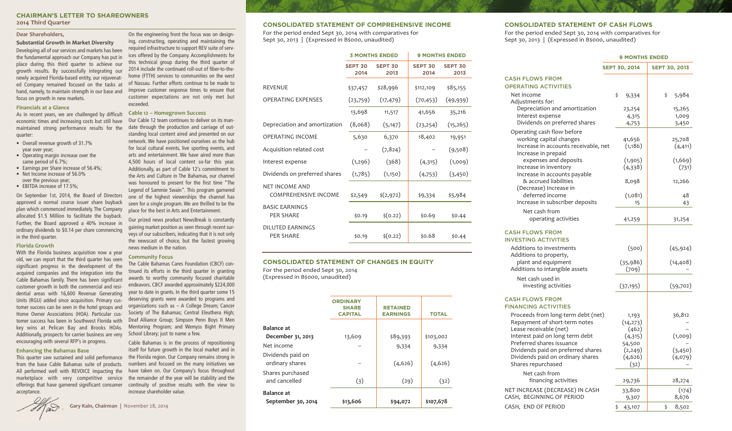## **CHAIRMAN'S LETTER TO SHAREOWNERS 2014 Third Quarter**

On the engineering front the focus was on designing, constructing, operating and maintaining the required infrastructure to support REV suite of services offered by the Company. Accomplishments for this technical group during the third quarter of 2014 include the continued roll-out of fiber-to-thehome (FTTH) services to communities on the west of Nassau. Further efforts continue to be made to improve customer response times to ensure that customer expectations are not only met but

**Cable 12 – Homegrown Success**

news medium in the nation. **Community Focus**

increase shareholder value.

The Cable Bahamas Cares Foundation (CBCF) continued its efforts in the third quarter in granting awards to worthy community focused charitable endeavors. CBCF awarded approximately \$224,000 year to date in grants. In the third quarter some 15 deserving grants were awarded to programs and

Society of The Bahamas; Central Eleuthera High;

Mentoring Program; and Wemyss Bight Primary

Cable Bahamas is in the process of repositioning itself for future growth in the local market and in the Florida region. Our Company remains strong in numbers and focused on the many initiatives we have taken on. Our Company's focus throughout the remainder of the year will be stability and the

Our Cable 12 team continues to deliver on its mandate through the production and carriage of outstanding local content aired and presented on our network. We have positioned ourselves as the hub for local cultural events, live sporting events, and arts and entertainment. We have aired more than 4,500 hours of local content so-far this year. Additionally, as part of Cable 12's commitment to the Arts and Culture in The Bahamas, our channel was honoured to present for the first time "The Legend of Sammie Swain". This program garnered one of the highest viewerships the channel has seen for a single program. We are thrilled to be the place for the best in Arts and Entertainment. Our prized news product NewsBreak is constantly gaining market position as seen through recent surveys of our subscribers, indicating that it is not only the newscast of choice, but the fastest growing

exceeded.

## **Dear Shareholders,**

**Substantial Growth in Market Diversity** Developing all of our services and markets has been the fundamental approach our Company has put in place during this third quarter to achieve our growth results. By successfully integrating our newly acquired Florida-based entity, our rejuvenated Company remained focused on the tasks at hand, namely, to maintain strength in our base and focus on growth in new markets.

#### **Financials at a Glance**

As in recent years, we are challenged by difficult economic times and increasing costs but still have maintained strong performance results for the quarter:

- Overall revenue growth of 31.7% year over year;
- Operating margin increase over the same period of 6.7%;
- Earnings per Share increase of 56.4%; • Net Income increase of 56.0%
- over the previous year;
- EBITDA increase of 17.5%:

On September 1st, 2014, the Board of Directors approved a normal course issuer share buyback plan which commenced immediately. The Company allocated \$1.5 Million to facilitate the buyback. Further, the Board approved a 40% increase in ordinary dividends to \$0.14 per share commencing in the third quarter.

## **Florida Growth**

With the Florida business acquisition now a year old, we can report that the third quarter has seen significant progress in the development of the acquired companies and the integration into the Cable Bahamas family. There has been significant customer growth in both the commercial and residential areas with 16,600 Revenue Generating Units (RGU) added since acquisition. Primary customer success can be seen in the hotel groups and Home Owner Associations (HOA). Particular customer success has been in Southwest Florida with key wins at Pelican Bay and Brooks HOAs. Additionally, prospects for carrier business are very encouraging with several RFP's in progress. organizations such as – A College Dream; Cancer Deaf Alliance Group; Simpson Penn Boys II Men School Library: just to name a few.

### **Enhancing the Bahamas Base**

This quarter saw sustained and solid performance from the base Cable Bahamas suite of products. All performed well with REVOICE impacting the marketplace with very competitive service offerings that have garnered significant consumer continuity of positive results with the view to acceptance.

**Gary Kain, Chairman |** November 28, 2014

# **CONSOLIDATED STATEMENT OF COMPREHENSIVE INCOME**

For the period ended Sept 30, 2014 with comparatives for Sept 30, 2013 | (Expressed in B\$000, unaudited)

|                                               | <b>3 MONTHS ENDED</b>  |                        | <b>9 MONTHS ENDED</b>  |                        |
|-----------------------------------------------|------------------------|------------------------|------------------------|------------------------|
|                                               | <b>SEPT 30</b><br>2014 | <b>SEPT 30</b><br>2013 | <b>SEPT 30</b><br>2014 | <b>SEPT 30</b><br>2013 |
| <b>REVENUE</b>                                | \$37,457               | \$28,996               | \$112,109              | \$85,155               |
| <b>OPERATING EXPENSES</b>                     | (23,759)               | (17, 479)              | (70, 453)              | (49, 939)              |
|                                               | 13,698                 | 11,517                 | 41,656                 | 35,216                 |
| Depreciation and amortization                 | (8,068)                | (5, 147)               | (23, 254)              | (15,265)               |
| <b>OPERATING INCOME</b>                       | 5,630                  | 6,370                  | 18,402                 | 19,951                 |
| Acquisition related cost                      |                        | (7,824)                |                        | (9,508)                |
| Interest expense                              | (1, 296)               | (368)                  | (4,315)                | (1,009)                |
| Dividends on preferred shares                 | (1,785)                | (1,150)                | (4,753)                | (3,450)                |
| NET INCOME AND<br><b>COMPREHENSIVE INCOME</b> | \$2,549                | $\frac{2}{2}$ (2,972)  | \$9,334                | \$5,984                |
| <b>BASIC EARNINGS</b><br><b>PER SHARE</b>     | \$0.19                 | $\zeta(0.22)$          | \$0.69                 | \$0.44                 |
| DILUTED FARNINGS<br><b>PER SHARE</b>          | \$0.19                 | $\zeta(0.22)$          | \$0.68                 | \$0.44                 |

## **CONSOLIDATED STATEMENT OF CHANGES IN EQUITY**

For the period ended Sept 30, 2014 (Expressed in B\$000, unaudited)

|                                         | <b>ORDINARY</b><br><b>SHARE</b><br><b>CAPITAL</b> | <b>RETAINED</b><br><b>EARNINGS</b> | <b>TOTAL</b> |  |
|-----------------------------------------|---------------------------------------------------|------------------------------------|--------------|--|
| <b>Balance at</b>                       |                                                   |                                    |              |  |
| December 31, 2013                       | 13,609                                            | \$89,393                           | \$103,002    |  |
| Net income                              |                                                   | 9,334                              | 9,334        |  |
| Dividends paid on<br>ordinary shares    |                                                   | (4,626)                            | (4,626)      |  |
| Shares purchased<br>and cancelled       | (3)                                               | (29)                               | (32)         |  |
| <b>Balance</b> at<br>September 30, 2014 | \$13,606                                          | \$94,072                           | \$107,678    |  |

### **CONSOLIDATED STATEMENT OF CASH FLOWS**

For the period ended Sept 30, 2014 with comparatives for Sept 30, 2013 | (Expressed in B\$000, unaudited)

|                                                                     | <b>9 MONTHS ENDED</b> |                      |  |
|---------------------------------------------------------------------|-----------------------|----------------------|--|
|                                                                     | SEPT 30, 2014         | <b>SEPT 30, 2013</b> |  |
| <b>CASH FLOWS FROM</b><br><b>OPERATING ACTIVITIES</b>               |                       |                      |  |
| Net income<br>Adjustments for:                                      | \$<br>9,334           | \$<br>5,984          |  |
| Depreciation and amortization                                       | 23,254                | 15,265               |  |
| Interest expense<br>Dividends on preferred shares                   | 4,315<br>4,753        | 1,009<br>3,450       |  |
| Operating cash flow before<br>working capital changes               | 41,656                | 25,708               |  |
| Increase in accounts receivable, net<br>Increase in prepaid         | (1, 186)              | (4, 411)             |  |
| expenses and deposits                                               | (1,905)               | (1,669)              |  |
| Increase in inventory<br>Increase in accounts payable               | (4,338)               | (731)                |  |
| & accrued liabilities<br>(Decrease) Increase in                     | 8,098                 | 12,266               |  |
| deferred income                                                     | (1,081)               | 48                   |  |
| Increase in subscriber deposits                                     | 15                    | 43                   |  |
| Net cash from<br>operating activities                               | 41,259                | 31,254               |  |
| <b>CASH FLOWS FROM</b>                                              |                       |                      |  |
| <b>INVESTING ACTIVITIES</b><br>Additions to investments             | (500)                 | (45, 924)            |  |
| Additions to property,                                              |                       |                      |  |
| plant and equipment<br>Additions to intangible assets               | (35, 986)<br>(709)    | (14, 408)            |  |
| Net cash used in<br>investing activities                            | (37, 195)             | (59,702)             |  |
| <b>CASH FLOWS FROM</b><br><b>FINANCING ACTIVITIES</b>               |                       |                      |  |
| Proceeds from long-term debt (net)<br>Repayment of short-term notes | 1,193<br>(14, 273)    | 36,812               |  |
| Lease receivable (net)                                              | (462)                 |                      |  |
| Interest paid on long term debt<br>Preferred shares issuance        | (4,315)<br>54,500     | (1,009)              |  |
| Dividends paid on preferred shares                                  | (2, 249)              | (3, 450)             |  |
| Dividends paid on ordinary shares<br>Shares repurchased             | (4,626)<br>(32)       | (4,079)              |  |
| Net cash from                                                       |                       |                      |  |
| financing activities                                                | 29,736                | 28,274               |  |
| NET INCREASE (DECREASE) IN CASH<br>CASH, BEGINNING OF PERIOD        | 33,800<br>9,307       | (174)<br>8,676       |  |
| CASH, END OF PERIOD                                                 | \$<br>43,107          | 8,502<br>\$          |  |